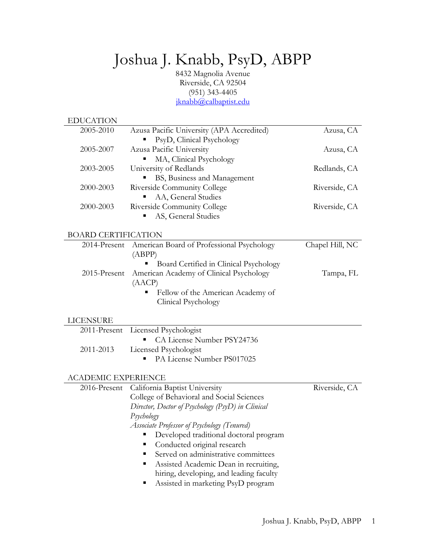# Joshua J. Knabb, PsyD, ABPP

8432 Magnolia Avenue Riverside, CA 92504 (951) 343-4405 jknabb@calbaptist.edu

| <b>EDUCATION</b>           |                                                                        |                 |
|----------------------------|------------------------------------------------------------------------|-----------------|
| 2005-2010                  | Azusa Pacific University (APA Accredited)<br>PsyD, Clinical Psychology | Azusa, CA       |
| 2005-2007                  | Azusa Pacific University                                               | Azusa, CA       |
|                            | MA, Clinical Psychology                                                |                 |
| 2003-2005                  | University of Redlands                                                 | Redlands, CA    |
|                            | BS, Business and Management                                            |                 |
| 2000-2003                  | Riverside Community College                                            | Riverside, CA   |
|                            | AA, General Studies                                                    |                 |
| 2000-2003                  | Riverside Community College                                            | Riverside, CA   |
|                            | AS, General Studies                                                    |                 |
| <b>BOARD CERTIFICATION</b> |                                                                        |                 |
| 2014-Present               | American Board of Professional Psychology<br>(ABPP)                    | Chapel Hill, NC |
|                            | Board Certified in Clinical Psychology                                 |                 |
| 2015-Present               | American Academy of Clinical Psychology                                | Tampa, FL       |
|                            | (AACP)                                                                 |                 |
|                            | Fellow of the American Academy of                                      |                 |
|                            | Clinical Psychology                                                    |                 |
| <b>LICENSURE</b>           |                                                                        |                 |
| 2011-Present               | Licensed Psychologist                                                  |                 |
|                            | CA License Number PSY24736                                             |                 |
| 2011-2013                  | Licensed Psychologist                                                  |                 |
|                            | PA License Number PS017025                                             |                 |
| <b>ACADEMIC EXPERIENCE</b> |                                                                        |                 |
| 2016-Present               | California Baptist University                                          | Riverside, CA   |
|                            | College of Behavioral and Social Sciences                              |                 |
|                            | Director, Doctor of Psychology (PsyD) in Clinical                      |                 |
|                            | Psychology                                                             |                 |
|                            | Associate Professor of Psychology (Tenured)                            |                 |
|                            | Developed traditional doctoral program<br>ш                            |                 |
|                            | Conducted original research                                            |                 |
|                            | Served on administrative committees<br>٠                               |                 |
|                            | Assisted Academic Dean in recruiting,<br>п                             |                 |
|                            | hiring, developing, and leading faculty                                |                 |
|                            | Assisted in marketing PsyD program                                     |                 |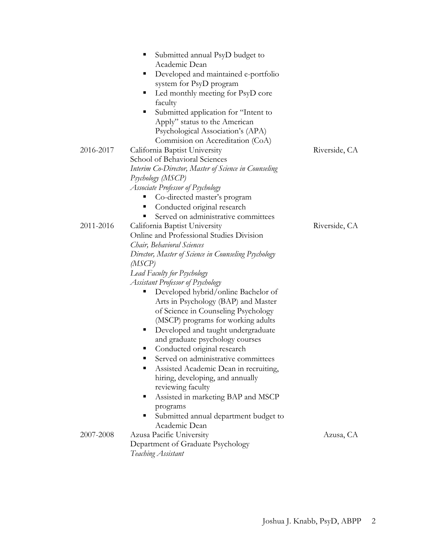|           | Submitted annual PsyD budget to<br>п<br>Academic Dean<br>Developed and maintained e-portfolio<br>п<br>system for PsyD program<br>Led monthly meeting for PsyD core<br>п<br>faculty<br>Submitted application for "Intent to<br>п<br>Apply" status to the American<br>Psychological Association's (APA) |               |
|-----------|-------------------------------------------------------------------------------------------------------------------------------------------------------------------------------------------------------------------------------------------------------------------------------------------------------|---------------|
|           | Commision on Accreditation (CoA)                                                                                                                                                                                                                                                                      |               |
| 2016-2017 | California Baptist University                                                                                                                                                                                                                                                                         | Riverside, CA |
|           | School of Behavioral Sciences                                                                                                                                                                                                                                                                         |               |
|           | Interim Co-Director, Master of Science in Counseling                                                                                                                                                                                                                                                  |               |
|           | Psychology (MSCP)                                                                                                                                                                                                                                                                                     |               |
|           | Associate Professor of Psychology                                                                                                                                                                                                                                                                     |               |
|           | Co-directed master's program                                                                                                                                                                                                                                                                          |               |
|           | Conducted original research<br>п                                                                                                                                                                                                                                                                      |               |
|           | Served on administrative committees                                                                                                                                                                                                                                                                   |               |
| 2011-2016 | California Baptist University                                                                                                                                                                                                                                                                         | Riverside, CA |
|           | Online and Professional Studies Division                                                                                                                                                                                                                                                              |               |
|           | Chair, Behavioral Sciences                                                                                                                                                                                                                                                                            |               |
|           | Director, Master of Science in Counseling Psychology                                                                                                                                                                                                                                                  |               |
|           | (MSCP)                                                                                                                                                                                                                                                                                                |               |
|           | Lead Faculty for Psychology                                                                                                                                                                                                                                                                           |               |
|           | <b>Assistant Professor of Psychology</b>                                                                                                                                                                                                                                                              |               |
|           | Developed hybrid/online Bachelor of<br>Ξ                                                                                                                                                                                                                                                              |               |
|           | Arts in Psychology (BAP) and Master                                                                                                                                                                                                                                                                   |               |
|           | of Science in Counseling Psychology                                                                                                                                                                                                                                                                   |               |
|           | (MSCP) programs for working adults                                                                                                                                                                                                                                                                    |               |
|           | Developed and taught undergraduate<br>п                                                                                                                                                                                                                                                               |               |
|           | and graduate psychology courses                                                                                                                                                                                                                                                                       |               |
|           | Conducted original research<br>ш                                                                                                                                                                                                                                                                      |               |
|           | Served on administrative committees<br>■                                                                                                                                                                                                                                                              |               |
|           | Assisted Academic Dean in recruiting,<br>п                                                                                                                                                                                                                                                            |               |
|           | hiring, developing, and annually                                                                                                                                                                                                                                                                      |               |
|           | reviewing faculty                                                                                                                                                                                                                                                                                     |               |
|           | Assisted in marketing BAP and MSCP<br>п                                                                                                                                                                                                                                                               |               |
|           | programs                                                                                                                                                                                                                                                                                              |               |
|           | Submitted annual department budget to<br>п                                                                                                                                                                                                                                                            |               |
|           | Academic Dean                                                                                                                                                                                                                                                                                         |               |
| 2007-2008 | Azusa Pacific University                                                                                                                                                                                                                                                                              | Azusa, CA     |
|           | Department of Graduate Psychology                                                                                                                                                                                                                                                                     |               |
|           | Teaching Assistant                                                                                                                                                                                                                                                                                    |               |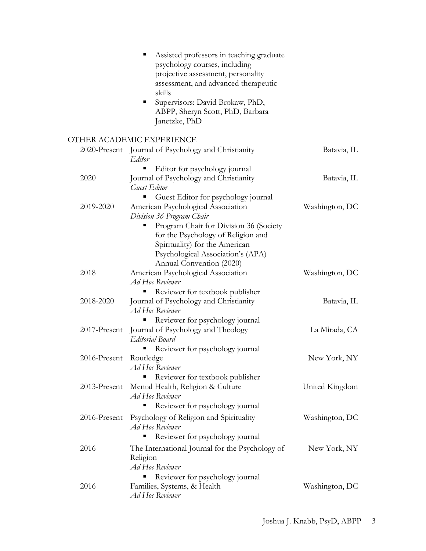|                | Assisted professors in teaching graduate<br>psychology courses, including<br>projective assessment, personality<br>assessment, and advanced therapeutic<br>skills<br>Supervisors: David Brokaw, PhD,<br>ABPP, Sheryn Scott, PhD, Barbara<br>Janetzke, PhD |              |
|----------------|-----------------------------------------------------------------------------------------------------------------------------------------------------------------------------------------------------------------------------------------------------------|--------------|
|                | OTHER ACADEMIC EXPERIENCE                                                                                                                                                                                                                                 |              |
| Batavia, IL    | Journal of Psychology and Christianity<br>Editor                                                                                                                                                                                                          | 2020-Present |
| Batavia, IL    | Editor for psychology journal<br>Journal of Psychology and Christianity<br><b>Guest Editor</b>                                                                                                                                                            | 2020         |
| Washington, DC | Guest Editor for psychology journal<br>American Psychological Association<br>Division 36 Program Chair<br>Program Chair for Division 36 (Society                                                                                                          | 2019-2020    |
| Washington, DC | for the Psychology of Religion and<br>Spirituality) for the American<br>Psychological Association's (APA)<br>Annual Convention (2020)<br>American Psychological Association                                                                               | 2018         |
| Batavia, IL    | <b>Ad Hoc Reviewer</b><br>Reviewer for textbook publisher<br>Journal of Psychology and Christianity                                                                                                                                                       | 2018-2020    |
| La Mirada, CA  | Ad Hoc Reviewer<br>Reviewer for psychology journal<br>п<br>Journal of Psychology and Theology<br>Editorial Board                                                                                                                                          | 2017-Present |
| New York, NY   | Reviewer for psychology journal<br>Routledge<br>Ad Hoc Reviewer                                                                                                                                                                                           | 2016-Present |
| United Kingdom | Reviewer for textbook publisher<br>Mental Health, Religion & Culture<br><b>Ad Hoc Reviewer</b>                                                                                                                                                            | 2013-Present |
| Washington, DC | Reviewer for psychology journal<br>Е<br>Psychology of Religion and Spirituality<br>Ad Hoc Reviewer                                                                                                                                                        | 2016-Present |
| New York, NY   | Reviewer for psychology journal<br>The International Journal for the Psychology of<br>Religion<br><b>Ad Hoc Reviewer</b>                                                                                                                                  | 2016         |
| Washington, DC | Reviewer for psychology journal<br>Families, Systems, & Health<br><b>Ad Hoc Reviewer</b>                                                                                                                                                                  | 2016         |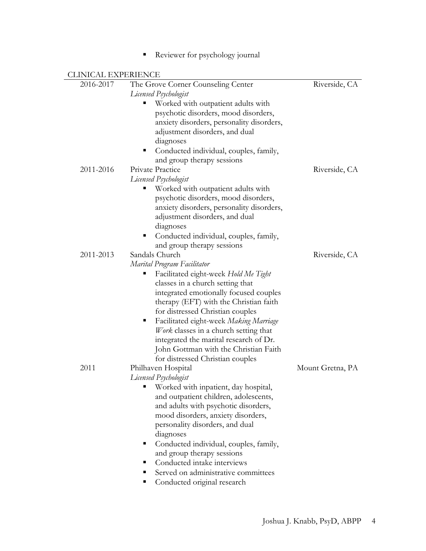■ Reviewer for psychology journal

| 2016-2017 | The Grove Corner Counseling Center          | Riverside, CA    |
|-----------|---------------------------------------------|------------------|
|           | Licensed Psychologist                       |                  |
|           | Worked with outpatient adults with          |                  |
|           | psychotic disorders, mood disorders,        |                  |
|           | anxiety disorders, personality disorders,   |                  |
|           | adjustment disorders, and dual              |                  |
|           | diagnoses                                   |                  |
|           | Conducted individual, couples, family,<br>ш |                  |
|           | and group therapy sessions                  |                  |
| 2011-2016 | Private Practice                            | Riverside, CA    |
|           | Licensed Psychologist                       |                  |
|           | Worked with outpatient adults with          |                  |
|           | psychotic disorders, mood disorders,        |                  |
|           | anxiety disorders, personality disorders,   |                  |
|           | adjustment disorders, and dual              |                  |
|           | diagnoses                                   |                  |
|           | Conducted individual, couples, family,<br>ш |                  |
|           | and group therapy sessions                  |                  |
| 2011-2013 | Sandals Church                              | Riverside, CA    |
|           | Marital Program Facilitator                 |                  |
|           | Facilitated eight-week Hold Me Tight        |                  |
|           | classes in a church setting that            |                  |
|           | integrated emotionally focused couples      |                  |
|           | therapy (EFT) with the Christian faith      |                  |
|           | for distressed Christian couples            |                  |
|           | Facilitated eight-week Making Marriage<br>ш |                  |
|           | Work classes in a church setting that       |                  |
|           | integrated the marital research of Dr.      |                  |
|           | John Gottman with the Christian Faith       |                  |
|           | for distressed Christian couples            |                  |
| 2011      | Philhaven Hospital                          | Mount Gretna, PA |
|           | Licensed Psychologist                       |                  |
|           | " Worked with inpatient, day hospital,      |                  |
|           | and outpatient children, adolescents,       |                  |
|           | and adults with psychotic disorders,        |                  |
|           | mood disorders, anxiety disorders,          |                  |
|           | personality disorders, and dual             |                  |
|           | diagnoses                                   |                  |
|           | Conducted individual, couples, family,<br>п |                  |
|           | and group therapy sessions                  |                  |
|           | Conducted intake interviews<br>п            |                  |
|           | Served on administrative committees         |                  |
|           |                                             |                  |
|           | Conducted original research                 |                  |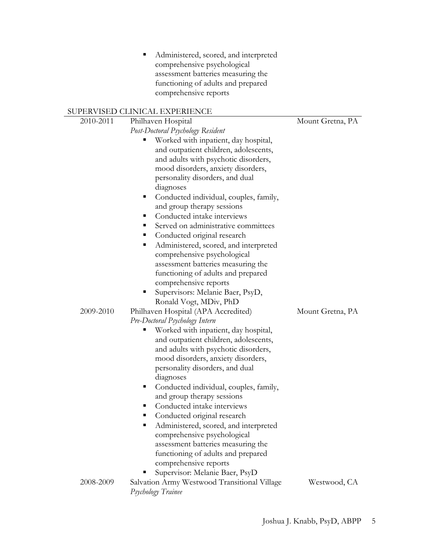■ Administered, scored, and interpreted comprehensive psychological assessment batteries measuring the functioning of adults and prepared comprehensive reports

# SUPERVISED CLINICAL EXPERIENCE

| 2010-2011 | Philhaven Hospital                                                       | Mount Gretna, PA |
|-----------|--------------------------------------------------------------------------|------------------|
|           | Post-Doctoral Psychology Resident                                        |                  |
|           | Worked with inpatient, day hospital,                                     |                  |
|           | and outpatient children, adolescents,                                    |                  |
|           | and adults with psychotic disorders,                                     |                  |
|           | mood disorders, anxiety disorders,                                       |                  |
|           | personality disorders, and dual                                          |                  |
|           | diagnoses                                                                |                  |
|           | Conducted individual, couples, family,<br>п                              |                  |
|           | and group therapy sessions                                               |                  |
|           | Conducted intake interviews<br>п                                         |                  |
|           | Served on administrative committees<br>٠                                 |                  |
|           | Conducted original research<br>п                                         |                  |
|           | Administered, scored, and interpreted<br>п                               |                  |
|           | comprehensive psychological                                              |                  |
|           | assessment batteries measuring the                                       |                  |
|           | functioning of adults and prepared                                       |                  |
|           | comprehensive reports                                                    |                  |
|           | Supervisors: Melanie Baer, PsyD,<br>п                                    |                  |
|           | Ronald Vogt, MDiv, PhD                                                   |                  |
| 2009-2010 | Philhaven Hospital (APA Accredited)                                      | Mount Gretna, PA |
|           | Pre-Doctoral Psychology Intern                                           |                  |
|           | Worked with inpatient, day hospital,<br>п                                |                  |
|           | and outpatient children, adolescents,                                    |                  |
|           | and adults with psychotic disorders,                                     |                  |
|           | mood disorders, anxiety disorders,                                       |                  |
|           | personality disorders, and dual                                          |                  |
|           | diagnoses                                                                |                  |
|           | Conducted individual, couples, family,<br>п                              |                  |
|           | and group therapy sessions                                               |                  |
|           | Conducted intake interviews<br>٠                                         |                  |
|           | Conducted original research<br>п                                         |                  |
|           | Administered, scored, and interpreted                                    |                  |
|           | comprehensive psychological                                              |                  |
|           | assessment batteries measuring the<br>functioning of adults and prepared |                  |
|           | comprehensive reports                                                    |                  |
|           |                                                                          |                  |
|           |                                                                          |                  |
|           | Supervisor: Melanie Baer, PsyD                                           |                  |
| 2008-2009 | Salvation Army Westwood Transitional Village<br>Psychology Trainee       | Westwood, CA     |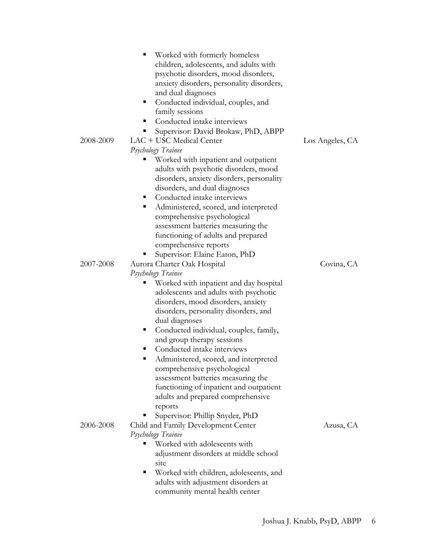|           | Worked with formerly homeless               |                 |
|-----------|---------------------------------------------|-----------------|
|           | children, adolescents, and adults with      |                 |
|           | psychotic disorders, mood disorders,        |                 |
|           | anxiety disorders, personality disorders,   |                 |
|           | and dual diagnoses                          |                 |
|           | Conducted individual, couples, and<br>п     |                 |
|           | family sessions                             |                 |
|           | Conducted intake interviews<br>п            |                 |
|           | Supervisor: David Brokaw, PhD, ABPP         |                 |
| 2008-2009 | LAC + USC Medical Center                    | Los Angeles, CA |
|           | Psychology Trainee                          |                 |
|           | Worked with inpatient and outpatient        |                 |
|           |                                             |                 |
|           | adults with psychotic disorders, mood       |                 |
|           | disorders, anxiety disorders, personality   |                 |
|           | disorders, and dual diagnoses               |                 |
|           | Conducted intake interviews<br>п            |                 |
|           | Administered, scored, and interpreted<br>ш  |                 |
|           | comprehensive psychological                 |                 |
|           | assessment batteries measuring the          |                 |
|           | functioning of adults and prepared          |                 |
|           | comprehensive reports                       |                 |
|           | Supervisor: Elaine Eaton, PhD               |                 |
| 2007-2008 | Aurora Charter Oak Hospital                 | Covina, CA      |
|           | Psychology Trainee                          |                 |
|           | Worked with inpatient and day hospital      |                 |
|           | adolescents and adults with psychotic       |                 |
|           | disorders, mood disorders, anxiety          |                 |
|           | disorders, personality disorders, and       |                 |
|           | dual diagnoses                              |                 |
|           | Conducted individual, couples, family,<br>п |                 |
|           | and group therapy sessions                  |                 |
|           | Conducted intake interviews                 |                 |
|           | Administered, scored, and interpreted<br>п  |                 |
|           | comprehensive psychological                 |                 |
|           | assessment batteries measuring the          |                 |
|           | functioning of inpatient and outpatient     |                 |
|           | adults and prepared comprehensive           |                 |
|           | reports                                     |                 |
|           | Supervisor: Phillip Snyder, PhD             |                 |
| 2006-2008 | Child and Family Development Center         | Azusa, CA       |
|           | Psychology Trainee                          |                 |
|           | Worked with adolescents with                |                 |
|           | adjustment disorders at middle school       |                 |
|           | site                                        |                 |
|           | Worked with children, adolescents, and<br>п |                 |
|           | adults with adjustment disorders at         |                 |
|           | community mental health center              |                 |
|           |                                             |                 |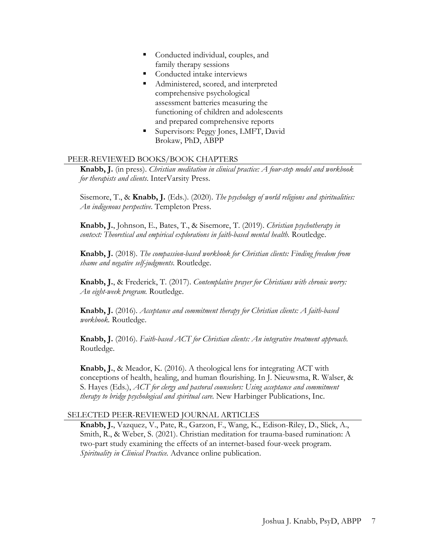- Conducted individual, couples, and family therapy sessions
- Conducted intake interviews
- Administered, scored, and interpreted comprehensive psychological assessment batteries measuring the functioning of children and adolescents and prepared comprehensive reports
- § Supervisors: Peggy Jones, LMFT, David Brokaw, PhD, ABPP

#### PEER-REVIEWED BOOKS/BOOK CHAPTERS

**Knabb, J.** (in press). *Christian meditation in clinical practice: A four-step model and workbook for therapists and clients*. InterVarsity Press.

Sisemore, T., & **Knabb, J.** (Eds.). (2020). *The psychology of world religions and spiritualities: An indigenous perspective*. Templeton Press.

**Knabb, J.**, Johnson, E., Bates, T., & Sisemore, T. (2019). *Christian psychotherapy in context: Theoretical and empirical explorations in faith-based mental health.* Routledge.

**Knabb, J.** (2018). *The compassion-based workbook for Christian clients: Finding freedom from shame and negative self-judgments.* Routledge.

**Knabb, J.**, & Frederick, T. (2017). *Contemplative prayer for Christians with chronic worry: An eight-week program.* Routledge.

**Knabb, J.** (2016). *Acceptance and commitment therapy for Christian clients: A faith-based workbook.* Routledge.

**Knabb, J.** (2016). *Faith-based ACT for Christian clients: An integrative treatment approach.* Routledge.

**Knabb, J.**, & Meador, K. (2016). A theological lens for integrating ACT with conceptions of health, healing, and human flourishing. In J. Nieuwsma, R. Walser, & S. Hayes (Eds.), *ACT for clergy and pastoral counselors: Using acceptance and commitment therapy to bridge psychological and spiritual care.* New Harbinger Publications, Inc.

### SELECTED PEER-REVIEWED JOURNAL ARTICLES

**Knabb, J.**, Vazquez, V., Pate, R., Garzon, F., Wang, K., Edison-Riley, D., Slick, A., Smith, R., & Weber, S. (2021). Christian meditation for trauma-based rumination: A two-part study examining the effects of an internet-based four-week program. *Spirituality in Clinical Practice.* Advance online publication.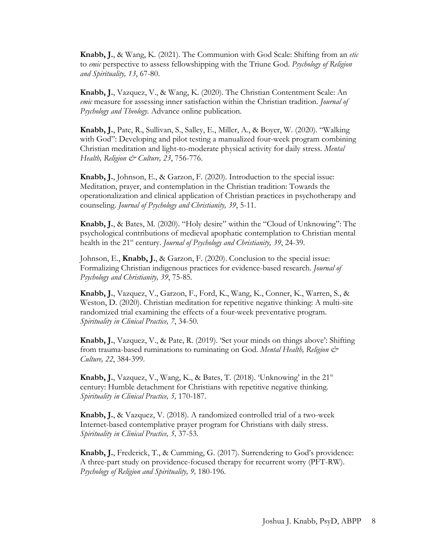**Knabb, J.**, & Wang, K. (2021). The Communion with God Scale: Shifting from an *etic* to *emic* perspective to assess fellowshipping with the Triune God. *Psychology of Religion and Spirituality, 13*, 67-80.

**Knabb, J.**, Vazquez, V., & Wang, K. (2020). The Christian Contentment Scale: An *emic* measure for assessing inner satisfaction within the Christian tradition. *Journal of Psychology and Theology.* Advance online publication.

**Knabb, J.**, Pate, R., Sullivan, S., Salley, E., Miller, A., & Boyer, W. (2020). "Walking with God": Developing and pilot testing a manualized four-week program combining Christian meditation and light-to-moderate physical activity for daily stress. *Mental Health, Religion & Culture, 23*, 756-776.

**Knabb, J.**, Johnson, E., & Garzon, F. (2020). Introduction to the special issue: Meditation, prayer, and contemplation in the Christian tradition: Towards the operationalization and clinical application of Christian practices in psychotherapy and counseling. *Journal of Psychology and Christianity, 39*, 5-11*.*

**Knabb, J.**, & Bates, M. (2020). "Holy desire" within the "Cloud of Unknowing": The psychological contributions of medieval apophatic contemplation to Christian mental health in the 21<sup>st</sup> century. *Journal of Psychology and Christianity*, 39, 24-39.

Johnson, E., **Knabb, J.**, & Garzon, F. (2020). Conclusion to the special issue: Formalizing Christian indigenous practices for evidence-based research. *Journal of Psychology and Christianity, 39*, 75-85*.*

**Knabb, J.**, Vazquez, V., Garzon, F., Ford, K., Wang, K., Conner, K., Warren, S., & Weston, D. (2020). Christian meditation for repetitive negative thinking: A multi-site randomized trial examining the effects of a four-week preventative program. *Spirituality in Clinical Practice, 7*, 34-50.

**Knabb, J.**, Vazquez, V., & Pate, R. (2019). 'Set your minds on things above': Shifting from trauma-based ruminations to ruminating on God. *Mental Health, Religion & Culture, 22*, 384-399.

**Knabb, J.**, Vazquez, V., Wang, K., & Bates, T. (2018). 'Unknowing' in the 21st century: Humble detachment for Christians with repetitive negative thinking*. Spirituality in Clinical Practice, 5,* 170-187.

**Knabb, J.**, & Vazquez, V. (2018). A randomized controlled trial of a two-week Internet-based contemplative prayer program for Christians with daily stress. *Spirituality in Clinical Practice, 5,* 37-53.

**Knabb, J.**, Frederick, T., & Cumming, G. (2017). Surrendering to God's providence: A three-part study on providence-focused therapy for recurrent worry (PFT-RW). *Psychology of Religion and Spirituality, 9,* 180-196.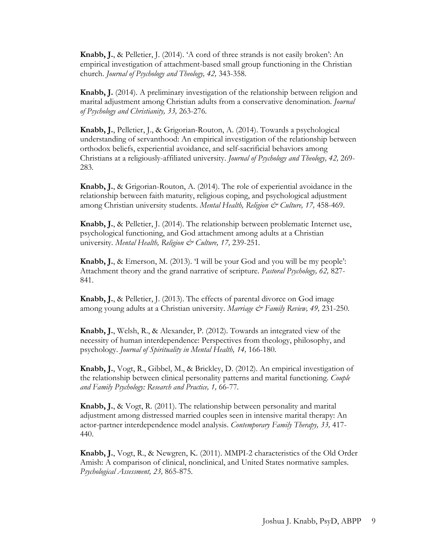**Knabb, J.**, & Pelletier, J. (2014). 'A cord of three strands is not easily broken': An empirical investigation of attachment-based small group functioning in the Christian church. *Journal of Psychology and Theology, 42,* 343-358.

**Knabb, J.** (2014). A preliminary investigation of the relationship between religion and marital adjustment among Christian adults from a conservative denomination. *Journal of Psychology and Christianity, 33,* 263-276*.*

**Knabb, J.**, Pelletier, J., & Grigorian-Routon, A. (2014). Towards a psychological understanding of servanthood: An empirical investigation of the relationship between orthodox beliefs, experiential avoidance, and self-sacrificial behaviors among Christians at a religiously-affiliated university. *Journal of Psychology and Theology, 42,* 269- 283*.*

**Knabb, J.**, & Grigorian-Routon, A. (2014). The role of experiential avoidance in the relationship between faith maturity, religious coping, and psychological adjustment among Christian university students. *Mental Health, Religion & Culture, 17,* 458-469.

**Knabb, J.**, & Pelletier, J. (2014). The relationship between problematic Internet use, psychological functioning, and God attachment among adults at a Christian university. Mental Health, Religion & Culture, 17, 239-251.

**Knabb, J.**, & Emerson, M. (2013). 'I will be your God and you will be my people': Attachment theory and the grand narrative of scripture. *Pastoral Psychology, 62,* 827- 841.

**Knabb, J.**, & Pelletier, J. (2013). The effects of parental divorce on God image among young adults at a Christian university. *Marriage & Family Review, 49,* 231-250*.*

**Knabb, J.**, Welsh, R., & Alexander, P. (2012). Towards an integrated view of the necessity of human interdependence: Perspectives from theology, philosophy, and psychology. *Journal of Spirituality in Mental Health, 14,* 166-180.

**Knabb, J.**, Vogt, R., Gibbel, M., & Brickley, D. (2012). An empirical investigation of the relationship between clinical personality patterns and marital functioning. *Couple and Family Psychology: Research and Practice, 1,* 66-77*.*

**Knabb, J.**, & Vogt, R. (2011). The relationship between personality and marital adjustment among distressed married couples seen in intensive marital therapy: An actor-partner interdependence model analysis. *Contemporary Family Therapy, 33,* 417- 440.

**Knabb, J.**, Vogt, R., & Newgren, K. (2011). MMPI-2 characteristics of the Old Order Amish: A comparison of clinical, nonclinical, and United States normative samples. *Psychological Assessment, 23,* 865-875.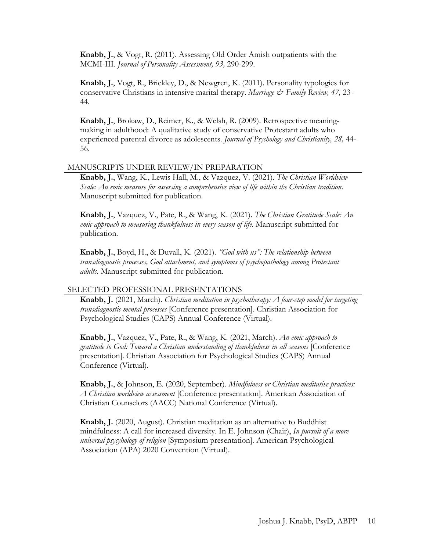**Knabb, J.**, & Vogt, R. (2011). Assessing Old Order Amish outpatients with the MCMI-III. *Journal of Personality Assessment, 93,* 290-299.

**Knabb, J.**, Vogt, R., Brickley, D., & Newgren, K. (2011). Personality typologies for conservative Christians in intensive marital therapy. *Marriage & Family Review, 47, 23-*44.

**Knabb, J.**, Brokaw, D., Reimer, K., & Welsh, R. (2009). Retrospective meaningmaking in adulthood: A qualitative study of conservative Protestant adults who experienced parental divorce as adolescents. *Journal of Psychology and Christianity, 28,* 44- 56.

#### MANUSCRIPTS UNDER REVIEW/IN PREPARATION

**Knabb, J.**, Wang, K., Lewis Hall, M., & Vazquez, V. (2021). *The Christian Worldview Scale: An emic measure for assessing a comprehensive view of life within the Christian tradition*. Manuscript submitted for publication.

**Knabb, J.**, Vazquez, V., Pate, R., & Wang, K. (2021). *The Christian Gratitude Scale: An emic approach to measuring thankfulness in every season of life*. Manuscript submitted for publication.

**Knabb, J.**, Boyd, H., & Duvall, K. (2021). *"God with us": The relationship between transdiagnostic processes, God attachment, and symptoms of psychopathology among Protestant adults*. Manuscript submitted for publication.

#### SELECTED PROFESSIONAL PRESENTATIONS

**Knabb, J.** (2021, March). *Christian meditation in psychotherapy: A four-step model for targeting transdiagnostic mental processes* [Conference presentation]. Christian Association for Psychological Studies (CAPS) Annual Conference (Virtual).

**Knabb, J.**, Vazquez, V., Pate, R., & Wang, K. (2021, March). *An emic approach to gratitude to God: Toward a Christian understanding of thankfulness in all seasons* [Conference presentation]. Christian Association for Psychological Studies (CAPS) Annual Conference (Virtual).

**Knabb, J.**, & Johnson, E. (2020, September). *Mindfulness or Christian meditative practices: A Christian worldview assessment* [Conference presentation]. American Association of Christian Counselors (AACC) National Conference (Virtual).

**Knabb, J.** (2020, August). Christian meditation as an alternative to Buddhist mindfulness: A call for increased diversity. In E. Johnson (Chair), *In pursuit of a more universal psycyhology of religion* [Symposium presentation]. American Psychological Association (APA) 2020 Convention (Virtual).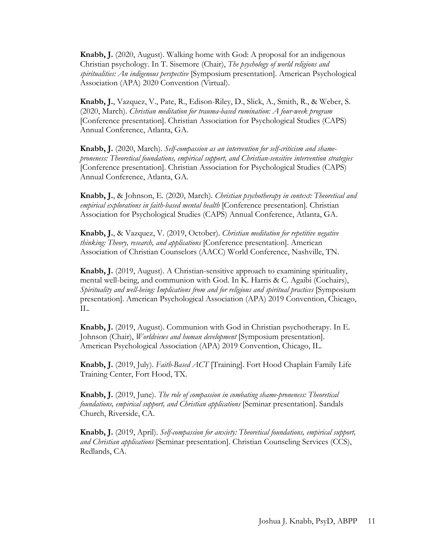**Knabb, J.** (2020, August). Walking home with God: A proposal for an indigenous Christian psychology. In T. Sisemore (Chair), *The psychology of world religions and spiritualities: An indigenous perspective* [Symposium presentation]. American Psychological Association (APA) 2020 Convention (Virtual).

**Knabb, J.**, Vazquez, V., Pate, R., Edison-Riley, D., Slick, A., Smith, R., & Weber, S. (2020, March). *Christian meditation for trauma-based rumination: A four-week program* [Conference presentation]. Christian Association for Psychological Studies (CAPS) Annual Conference, Atlanta, GA.

**Knabb, J.** (2020, March). *Self-compassion as an intervention for self-criticism and shameproneness: Theoretical foundations, empirical support, and Christian-sensitive intervention strategies* [Conference presentation]. Christian Association for Psychological Studies (CAPS) Annual Conference, Atlanta, GA.

**Knabb, J.**, & Johnson, E. (2020, March). *Christian psychotherapy in context: Theoretical and empirical explorations in faith-based mental health* [Conference presentation]. Christian Association for Psychological Studies (CAPS) Annual Conference, Atlanta, GA.

**Knabb, J.**, & Vazquez, V. (2019, October). *Christian meditation for repetitive negative thinking: Theory, research, and applications* [Conference presentation]. American Association of Christian Counselors (AACC) World Conference, Nashville, TN.

**Knabb, J.** (2019, August). A Christian-sensitive approach to examining spirituality, mental well-being, and communion with God. In K. Harris & C. Agaibi (Cochairs), *Spirituality and well-being: Implications from and for religious and spiritual practices* [Symposium presentation]. American Psychological Association (APA) 2019 Convention, Chicago, IL.

**Knabb, J.** (2019, August). Communion with God in Christian psychotherapy. In E. Johnson (Chair), *Worldviews and human development* [Symposium presentation]. American Psychological Association (APA) 2019 Convention, Chicago, IL.

**Knabb, J.** (2019, July). *Faith-Based ACT* [Training]. Fort Hood Chaplain Family Life Training Center, Fort Hood, TX.

**Knabb, J.** (2019, June). *The role of compassion in combating shame-proneness: Theoretical foundations, empirical support, and Christian applications* [Seminar presentation]. Sandals Church, Riverside, CA.

**Knabb, J.** (2019, April). *Self-compassion for anxiety: Theoretical foundations, empirical support, and Christian applications* [Seminar presentation]. Christian Counseling Services (CCS), Redlands, CA.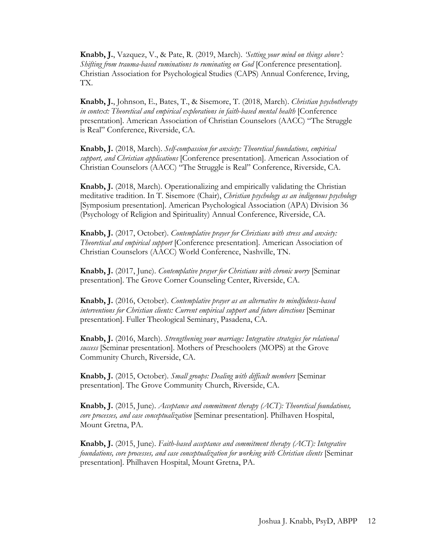**Knabb, J.**, Vazquez, V., & Pate, R. (2019, March). *'Setting your mind on things above': Shifting from trauma-based ruminations to ruminating on God* [Conference presentation]. Christian Association for Psychological Studies (CAPS) Annual Conference, Irving, TX.

**Knabb, J.**, Johnson, E., Bates, T., & Sisemore, T. (2018, March). *Christian psychotherapy in context: Theoretical and empirical explorations in faith-based mental health* [Conference presentation]. American Association of Christian Counselors (AACC) "The Struggle is Real" Conference, Riverside, CA.

**Knabb, J.** (2018, March). *Self-compassion for anxiety: Theoretical foundations, empirical support, and Christian applications* [Conference presentation]. American Association of Christian Counselors (AACC) "The Struggle is Real" Conference, Riverside, CA.

**Knabb, J.** (2018, March). Operationalizing and empirically validating the Christian meditative tradition. In T. Sisemore (Chair), *Christian psychology as an indigenous psychology* [Symposium presentation]. American Psychological Association (APA) Division 36 (Psychology of Religion and Spirituality) Annual Conference, Riverside, CA.

**Knabb, J.** (2017, October). *Contemplative prayer for Christians with stress and anxiety: Theoretical and empirical support* [Conference presentation]. American Association of Christian Counselors (AACC) World Conference, Nashville, TN.

**Knabb, J.** (2017, June). *Contemplative prayer for Christians with chronic worry* [Seminar presentation]. The Grove Corner Counseling Center, Riverside, CA.

**Knabb, J.** (2016, October). *Contemplative prayer as an alternative to mindfulness-based interventions for Christian clients: Current empirical support and future directions* [Seminar presentation]. Fuller Theological Seminary, Pasadena, CA.

**Knabb, J.** (2016, March). *Strengthening your marriage: Integrative strategies for relational success* [Seminar presentation]. Mothers of Preschoolers (MOPS) at the Grove Community Church, Riverside, CA.

**Knabb, J.** (2015, October). *Small groups: Dealing with difficult members* [Seminar presentation]. The Grove Community Church, Riverside, CA.

**Knabb, J.** (2015, June). *Acceptance and commitment therapy (ACT): Theoretical foundations, core processes, and case conceptualization* [Seminar presentation]. Philhaven Hospital, Mount Gretna, PA.

**Knabb, J.** (2015, June). *Faith-based acceptance and commitment therapy (ACT): Integrative foundations, core processes, and case conceptualization for working with Christian clients* [Seminar presentation]. Philhaven Hospital, Mount Gretna, PA.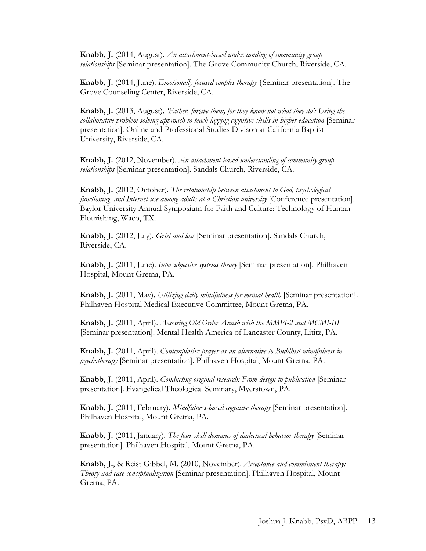**Knabb, J.** (2014, August). *An attachment-based understanding of community group relationships* [Seminar presentation]. The Grove Community Church, Riverside, CA.

**Knabb, J.** (2014, June). *Emotionally focused couples therapy* {Seminar presentation]. The Grove Counseling Center, Riverside, CA.

**Knabb, J.** (2013, August). *'Father, forgive them, for they know not what they do': Using the collaborative problem solving approach to teach lagging cognitive skills in higher education* [Seminar presentation]. Online and Professional Studies Divison at California Baptist University, Riverside, CA.

**Knabb, J.** (2012, November). *An attachment-based understanding of community group relationships* [Seminar presentation]. Sandals Church, Riverside, CA.

**Knabb, J.** (2012, October). *The relationship between attachment to God, psychological functioning, and Internet use among adults at a Christian university* [Conference presentation]. Baylor University Annual Symposium for Faith and Culture: Technology of Human Flourishing, Waco, TX.

**Knabb, J.** (2012, July). *Grief and loss* [Seminar presentation]. Sandals Church, Riverside, CA.

**Knabb, J.** (2011, June). *Intersubjective systems theory* [Seminar presentation]. Philhaven Hospital, Mount Gretna, PA.

**Knabb, J.** (2011, May). *Utilizing daily mindfulness for mental health* [Seminar presentation]. Philhaven Hospital Medical Executive Committee, Mount Gretna, PA.

**Knabb, J.** (2011, April). *Assessing Old Order Amish with the MMPI-2 and MCMI-III*  [Seminar presentation]. Mental Health America of Lancaster County, Lititz, PA.

**Knabb, J.** (2011, April). *Contemplative prayer as an alternative to Buddhist mindfulness in psychotherapy* [Seminar presentation]. Philhaven Hospital, Mount Gretna, PA.

**Knabb, J.** (2011, April). *Conducting original research: From design to publication* [Seminar presentation]. Evangelical Theological Seminary, Myerstown, PA.

**Knabb, J.** (2011, February). *Mindfulness-based cognitive therapy* [Seminar presentation]. Philhaven Hospital, Mount Gretna, PA.

**Knabb, J.** (2011, January). *The four skill domains of dialectical behavior therapy* [Seminar presentation]. Philhaven Hospital, Mount Gretna, PA.

**Knabb, J.**, & Reist Gibbel, M. (2010, November). *Acceptance and commitment therapy: Theory and case conceptualization* [Seminar presentation]. Philhaven Hospital, Mount Gretna, PA.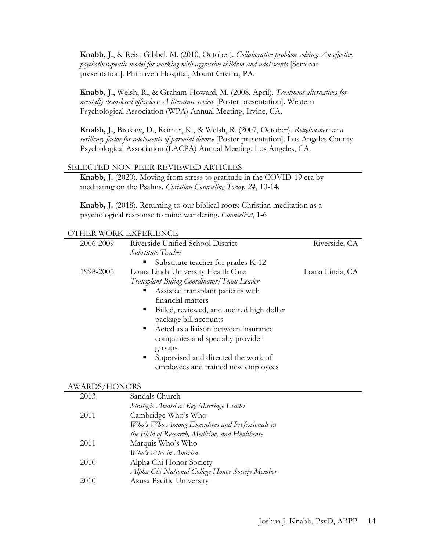**Knabb, J.**, & Reist Gibbel, M. (2010, October). *Collaborative problem solving: An effective psychotherapeutic model for working with aggressive children and adolescents* [Seminar presentation]. Philhaven Hospital, Mount Gretna, PA.

**Knabb, J.**, Welsh, R., & Graham-Howard, M. (2008, April). *Treatment alternatives for mentally disordered offenders: A literature review* [Poster presentation]. Western Psychological Association (WPA) Annual Meeting, Irvine, CA.

**Knabb, J.**, Brokaw, D., Reimer, K., & Welsh, R. (2007, October). *Religiousness as a resiliency factor for adolescents of parental divorce* [Poster presentation]. Los Angeles County Psychological Association (LACPA) Annual Meeting, Los Angeles, CA.

#### SELECTED NON-PEER-REVIEWED ARTICLES

**Knabb, J.** (2020). Moving from stress to gratitude in the COVID-19 era by meditating on the Psalms. *Christian Counseling Today, 24*, 10-14.

**Knabb, J.** (2018). Returning to our biblical roots: Christian meditation as a psychological response to mind wandering. *CounselEd*, 1-6

#### OTHER WORK EXPERIENCE

| 2006-2009            | Riverside Unified School District                      | Riverside, CA  |
|----------------------|--------------------------------------------------------|----------------|
|                      | Substitute Teacher                                     |                |
|                      | Substitute teacher for grades K-12                     |                |
| 1998-2005            | Loma Linda University Health Care                      | Loma Linda, CA |
|                      | Transplant Billing Coordinator/Team Leader             |                |
|                      | Assisted transplant patients with<br>п                 |                |
|                      | financial matters                                      |                |
|                      | Billed, reviewed, and audited high dollar<br>٠         |                |
|                      | package bill accounts                                  |                |
|                      | Acted as a liaison between insurance<br>$\blacksquare$ |                |
|                      | companies and specialty provider                       |                |
|                      | groups                                                 |                |
|                      | Supervised and directed the work of                    |                |
|                      | employees and trained new employees                    |                |
|                      |                                                        |                |
| <b>AWARDS/HONORS</b> |                                                        |                |
| 2013                 | Sandals Church                                         |                |

## *Strategic Award as Key Marriage Leader* 2011 Cambridge Who's Who *Who's Who Among Executives and Professionals in the Field of Research, Medicine, and Healthcare* 2011 Marquis Who's Who *Who's Who in America* 2010 Alpha Chi Honor Society *Alpha Chi National College Honor Society Member* 2010 Azusa Pacific University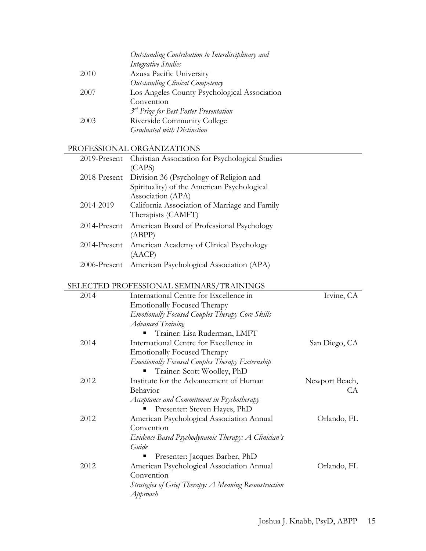|      | Outstanding Contribution to Interdisciplinary and |
|------|---------------------------------------------------|
|      | Integrative Studies                               |
| 2010 | Azusa Pacific University                          |
|      | Outstanding Clinical Competency                   |
| 2007 | Los Angeles County Psychological Association      |
|      | Convention                                        |
|      | <sup>3rd</sup> Prize for Best Poster Presentation |
| 2003 | Riverside Community College                       |
|      | Graduated with Distinction                        |
|      |                                                   |

# PROFESSIONAL ORGANIZATIONS

|              | 2019-Present Christian Association for Psychological Studies |
|--------------|--------------------------------------------------------------|
|              | (CAPS)                                                       |
|              | 2018-Present Division 36 (Psychology of Religion and         |
|              | Spirituality) of the American Psychological                  |
|              | Association (APA)                                            |
| 2014-2019    | California Association of Marriage and Family                |
|              | Therapists (CAMFT)                                           |
| 2014-Present | American Board of Professional Psychology                    |
|              | (ABPP)                                                       |
|              | 2014-Present American Academy of Clinical Psychology         |
|              | (AACP)                                                       |
| 2006-Present | American Psychological Association (APA)                     |
|              |                                                              |

## SELECTED PROFESSIONAL SEMINARS/TRAININGS

| 2014 | International Centre for Excellence in                 | Irvine, CA     |
|------|--------------------------------------------------------|----------------|
|      | <b>Emotionally Focused Therapy</b>                     |                |
|      | <b>Emotionally Focused Couples Therapy Core Skills</b> |                |
|      | <b>Advanced Training</b>                               |                |
|      | Trainer: Lisa Ruderman, LMFT                           |                |
| 2014 | International Centre for Excellence in                 | San Diego, CA  |
|      | <b>Emotionally Focused Therapy</b>                     |                |
|      | <b>Emotionally Focused Couples Therapy Externship</b>  |                |
|      | Trainer: Scott Woolley, PhD                            |                |
| 2012 | Institute for the Advancement of Human                 | Newport Beach, |
|      | Behavior                                               | СA             |
|      | Acceptance and Commitment in Psychotherapy             |                |
|      | Presenter: Steven Hayes, PhD                           |                |
| 2012 | American Psychological Association Annual              | Orlando, FL    |
|      | Convention                                             |                |
|      | Evidence-Based Psychodynamic Therapy: A Clinician's    |                |
|      | Guide                                                  |                |
|      | Presenter: Jacques Barber, PhD                         |                |
| 2012 | American Psychological Association Annual              | Orlando, FL    |
|      | Convention                                             |                |
|      | Strategies of Grief Therapy: A Meaning Reconstruction  |                |
|      | Approach                                               |                |
|      |                                                        |                |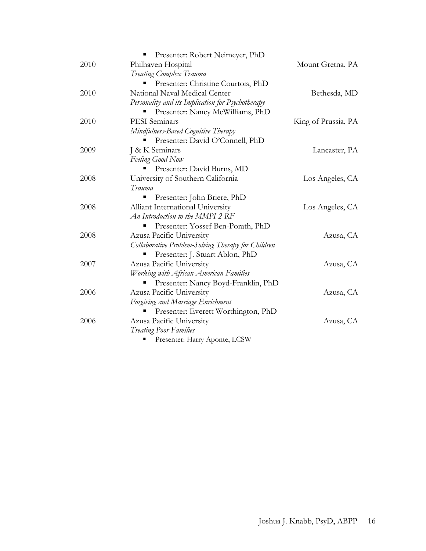|      | Presenter: Robert Neimeyer, PhD                    |                     |
|------|----------------------------------------------------|---------------------|
| 2010 | Philhaven Hospital                                 | Mount Gretna, PA    |
|      | Treating Complex Trauma                            |                     |
|      | Presenter: Christine Courtois, PhD                 |                     |
| 2010 | National Naval Medical Center                      | Bethesda, MD        |
|      | Personality and its Implication for Psychotherapy  |                     |
|      | Presenter: Nancy McWilliams, PhD                   |                     |
| 2010 | PESI Seminars                                      | King of Prussia, PA |
|      | Mindfulness-Based Cognitive Therapy                |                     |
|      | Presenter: David O'Connell, PhD                    |                     |
| 2009 | J & K Seminars                                     | Lancaster, PA       |
|      | <b>Feeling Good Now</b>                            |                     |
|      | Presenter: David Burns, MD                         |                     |
| 2008 | University of Southern California                  | Los Angeles, CA     |
|      | Trauma                                             |                     |
|      | Presenter: John Briere, PhD                        |                     |
| 2008 | Alliant International University                   | Los Angeles, CA     |
|      | An Introduction to the MMPI-2-RF                   |                     |
|      | Presenter: Yossef Ben-Porath, PhD                  |                     |
| 2008 | Azusa Pacific University                           | Azusa, CA           |
|      | Collaborative Problem-Solving Therapy for Children |                     |
|      | Presenter: J. Stuart Ablon, PhD                    |                     |
| 2007 | Azusa Pacific University                           | Azusa, CA           |
|      | Working with African-American Families             |                     |
|      | Presenter: Nancy Boyd-Franklin, PhD                |                     |
| 2006 | Azusa Pacific University                           | Azusa, CA           |
|      | Forgiving and Marriage Enrichment                  |                     |
|      | Presenter: Everett Worthington, PhD                |                     |
| 2006 | Azusa Pacific University                           | Azusa, CA           |
|      | <b>Treating Poor Families</b>                      |                     |
|      | Presenter: Harry Aponte, LCSW                      |                     |